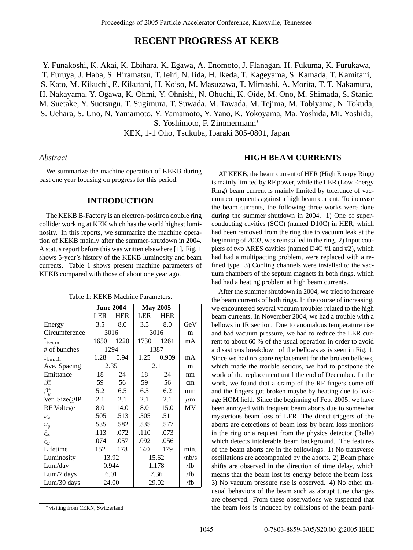# **RECENT PROGRESS AT KEKB**

Y. Funakoshi, K. Akai, K. Ebihara, K. Egawa, A. Enomoto, J. Flanagan, H. Fukuma, K. Furukawa, T. Furuya, J. Haba, S. Hiramatsu, T. Ieiri, N. Iida, H. Ikeda, T. Kageyama, S. Kamada, T. Kamitani, S. Kato, M. Kikuchi, E. Kikutani, H. Koiso, M. Masuzawa, T. Mimashi, A. Morita, T. T. Nakamura, H. Nakayama, Y. Ogawa, K. Ohmi, Y. Ohnishi, N. Ohuchi, K. Oide, M. Ono, M. Shimada, S. Stanic, M. Suetake, Y. Suetsugu, T. Sugimura, T. Suwada, M. Tawada, M. Tejima, M. Tobiyama, N. Tokuda, S. Uehara, S. Uno, N. Yamamoto, Y. Yamamoto, Y. Yano, K. Yokoyama, Ma. Yoshida, Mi. Yoshida, S. Yoshimoto, F. Zimmermann<sup>∗</sup>

KEK, 1-1 Oho, Tsukuba, Ibaraki 305-0801, Japan

# *Abstract*

We summarize the machine operation of KEKB during past one year focusing on progress for this period.

## **INTRODUCTION**

The KEKB B-Factory is an electron-positron double ring collider working at KEK which has the world highest luminosity. In this reports, we summarize the machine operation of KEKB mainly after the summer-shutdown in 2004. A status report before this was written elsewhere [1]. Fig. 1 shows 5-year's history of the KEKB luminosity and beam currents. Table 1 shows present machine parameters of KEKB compared with those of about one year ago.

|                    | <b>June 2004</b> |            | <b>May 2005</b> |            |         |
|--------------------|------------------|------------|-----------------|------------|---------|
|                    | <b>LER</b>       | <b>HER</b> | <b>LER</b>      | <b>HER</b> |         |
| Energy             | $3.5^{\circ}$    | 8.0        | 3.5             | 8.0        | GeV     |
| Circumference      | 3016             |            | 3016            |            | m       |
| $I_{\text{beam}}$  | 1650             | 1220       | 1730            | 1261       | mA      |
| # of bunches       | 1294             |            | 1387            |            |         |
| $I_{\text{bunch}}$ | 1.28             | 0.94       | 1.25            | 0.909      | mA      |
| Ave. Spacing       | 2.35             |            | 2.1             |            | m       |
| Emittance          | 18               | 24         | 18              | 24         | nm      |
| $\beta_x^*$        | 59               | 56         | 59              | 56         | cm      |
| $\bar{\beta_y^*}$  | 5.2              | 6.5        | 6.5             | 6.2        | mm      |
| Ver. Size@IP       | 2.1              | 2.1        | 2.1             | 2.1        | $\mu$ m |
| RF Voltege         | 8.0              | 14.0       | 8.0             | 15.0       | MV      |
| $\nu_x$            | .505             | .513       | .505            | .511       |         |
| $\nu_y$            | .535             | .582       | .535            | .577       |         |
| $\xi_x$            | .113             | .072       | .110            | .073       |         |
| $\xi_y$            | .074             | .057       | .092            | .056       |         |
| Lifetime           | 152              | 178        | 140             | 179        | min.    |
| Luminosity         | 13.92            |            | 15.62           |            | /nb/s   |
| Lum/day            | 0.944            |            | 1.178           |            | /fb     |
| Lum/7 days         | 6.01             |            | 7.36            |            | /fb     |
| Lum/30 days        | 24.00            |            | 29.02           |            | /fb     |

<sup>∗</sup> visiting from CERN, Switzerland

## **HIGH BEAM CURRENTS**

AT KEKB, the beam current of HER (High Energy Ring) is mainly limited by RF power, while the LER (Low Energy Ring) beam current is mainly limited by tolerance of vacuum components against a high beam current. To increase the beam currents, the following three works were done during the summer shutdown in 2004. 1) One of superconducting cavities (SCC) (named D10C) in HER, which had been removed from the ring due to vacuum leak at the beginning of 2003, was reinstalled in the ring. 2) Input couplers of two ARES cavities (named D4C #1 and #2), which had had a multipacting problem, were replaced with a refined type. 3) Cooling channels were installed to the vacuum chambers of the septum magnets in both rings, which had had a heating problem at high beam currents.

After the summer shutdown in 2004, we tried to increase the beam currents of both rings. In the course of increasing, we encountered several vacuum troubles related to the high beam currents. In November 2004, we had a trouble with a bellows in IR section. Due to anomalous temperature rise and bad vacuum pressure, we had to reduce the LER current to about 60 % of the usual operation in order to avoid a disastrous breakdown of the bellows as is seen in Fig. 1. Since we had no spare replacement for the broken bellows, which made the trouble serious, we had to postpone the work of the replacement until the end of December. In the work, we found that a cramp of the RF fingers come off and the fingers got broken maybe by heating due to leakage HOM field. Since the beginning of Feb. 2005, we have been annoyed with frequent beam aborts due to somewhat mysterious beam loss of LER. The direct triggers of the aborts are detections of beam loss by beam loss monitors in the ring or a request from the physics detector (Belle) which detects intolerable beam background. The features of the beam aborts are in the followings. 1) No transverse oscillations are accompanied by the aborts. 2) Beam phase shifts are observed in the direction of time delay, which means that the beam lost its energy before the beam loss. 3) No vacuum pressure rise is observed. 4) No other unusual behaviors of the beam such as abrupt tune changes are observed. From these observations we suspected that the beam loss is induced by collisions of the beam parti-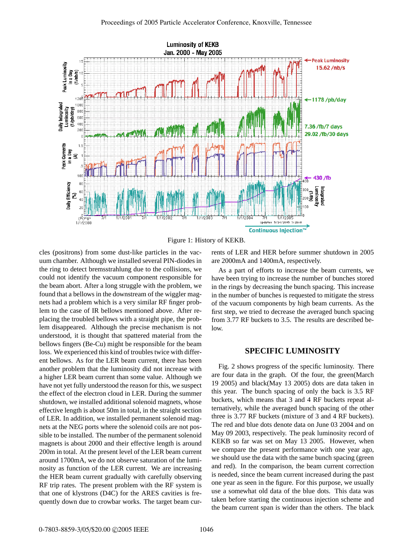

Figure 1: History of KEKB.

cles (positrons) from some dust-like particles in the vacuum chamber. Although we installed several PIN-diodes in the ring to detect bremsstrahlung due to the collisions, we could not identify the vacuum component responsible for the beam abort. After a long struggle with the problem, we found that a bellows in the downstream of the wiggler magnets had a problem which is a very similar RF finger problem to the case of IR bellows mentioned above. After replacing the troubled bellows with a straight pipe, the problem disappeared. Although the precise mechanism is not understood, it is thought that spattered material from the bellows fingers (Be-Cu) might be responsible for the beam loss. We experienced this kind of troubles twice with different bellows. As for the LER beam current, there has been another problem that the luminosity did not increase with a higher LER beam current than some value. Although we have not yet fully understood the reason for this, we suspect the effect of the electron cloud in LER. During the summer shutdown, we installed additional solenoid magnets, whose effective length is about 50m in total, in the straight section of LER. In addition, we installed permanent solenoid magnets at the NEG ports where the solenoid coils are not possible to be installed. The number of the permanent solenoid magnets is about 2000 and their effective length is around 200m in total. At the present level of the LER beam current around 1700mA, we do not observe saturation of the luminosity as function of the LER current. We are increasing the HER beam current gradually with carefully observing RF trip rates. The present problem with the RF system is that one of klystrons (D4C) for the ARES cavities is frequently down due to crowbar works. The target beam currents of LER and HER before summer shutdown in 2005 are 2000mA and 1400mA, respectively.

As a part of efforts to increase the beam currents, we have been trying to increase the number of bunches stored in the rings by decreasing the bunch spacing. This increase in the number of bunches is requested to mitigate the stress of the vacuum components by high beam currents. As the first step, we tried to decrease the averaged bunch spacing from 3.77 RF buckets to 3.5. The results are described below.

## **SPECIFIC LUMINOSITY**

Fig. 2 shows progress of the specific luminosity. There are four data in the graph. Of the four, the green(March 19 2005) and black(May 13 2005) dots are data taken in this year. The bunch spacing of only the back is 3.5 RF buckets, which means that 3 and 4 RF buckets repeat alternatively, while the averaged bunch spacing of the other three is 3.77 RF buckets (mixture of 3 and 4 RF buckets). The red and blue dots denote data on June 03 2004 and on May 09 2003, respectively. The peak luminosity record of KEKB so far was set on May 13 2005. However, when we compare the present performance with one year ago, we should use the data with the same bunch spacing (green and red). In the comparison, the beam current correction is needed, since the beam current increased during the past one year as seen in the figure. For this purpose, we usually use a somewhat old data of the blue dots. This data was taken before starting the continuous injection scheme and the beam current span is wider than the others. The black